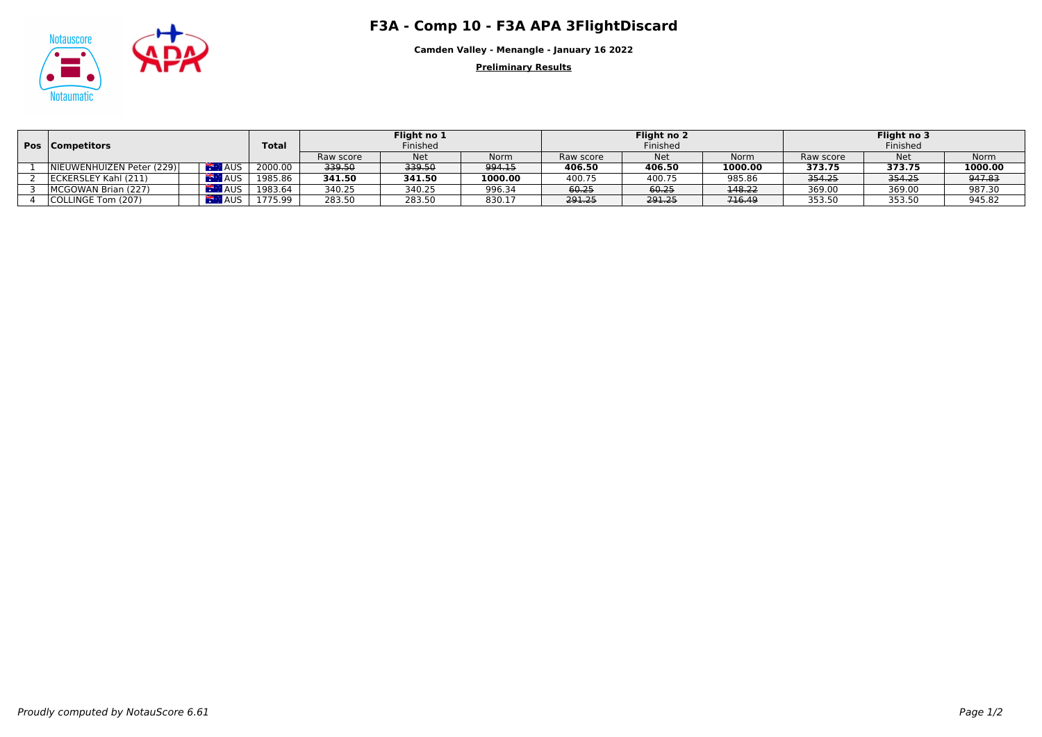## Notauscore **F3A - Comp 10 - F3A APA 3FlightDiscard**



**Camden Valley - Menangle - January 16 2022**

**Preliminary Results**

|  | <b>Pos</b>   Competitors   |            | <b>Total</b> | Flight no 1<br>Finished |        |             | Flight no 2<br>Finished |            |         | Flight no 3<br>Finished |            |             |
|--|----------------------------|------------|--------------|-------------------------|--------|-------------|-------------------------|------------|---------|-------------------------|------------|-------------|
|  |                            |            |              |                         |        |             |                         |            |         |                         |            |             |
|  |                            |            |              | Raw score               | Net    | <b>Norm</b> | Raw score               | <b>Net</b> | Norm    | Raw score               | <b>Net</b> | <b>Norm</b> |
|  | INIEUWENHUIZEN Peter (229) | <b>AUS</b> | 2000.00      | 339.50                  | 339.50 | 994.15      | 406.50                  | 406.50     | 1000.00 | 373.75                  | 373.75     | 1000.00     |
|  | ECKERSLEY Kahl (211)       | ⊿AUS       | 1985.86      | 341.50                  | 341.50 | 1000.00     | 400.75                  | 400.75     | 985.86  | 354.25                  | 354.25     | 947.83      |
|  | MCGOWAN Brian (227)        | AUS.       | 1983.64      | 340.25                  | 340.25 | 996.34      | 60.25                   | 60.25      | 148.22  | 369.00                  | 369.00     | 987.30      |
|  | COLLINGE Tom (207)         | AUS.       | 1775.99      | 283.50                  | 283.50 | 830.17      | 291.25                  | 291.25     | 716.49  | 353.50                  | 353.50     | 945.82      |